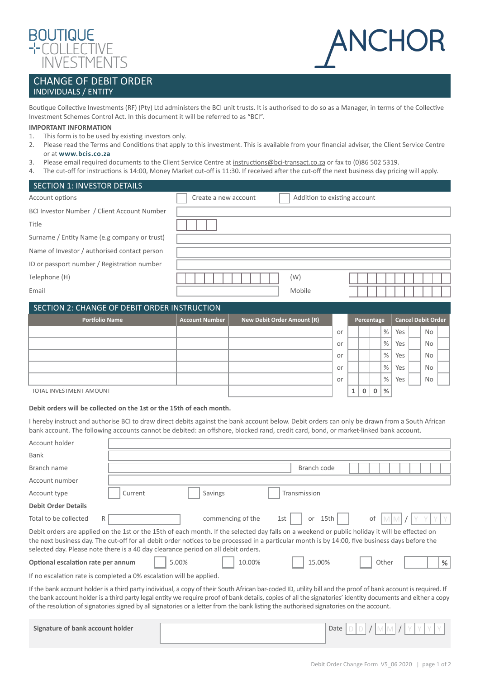

# NC F

# CHANGE OF DEBIT ORDER INDIVIDUALS / ENTITY

Boutique Collective Investments (RF) (Pty) Ltd administers the BCI unit trusts. It is authorised to do so as a Manager, in terms of the Collective Investment Schemes Control Act. In this document it will be referred to as "BCI".

## **IMPORTANT INFORMATION**

- 1. This form is to be used by existing investors only.
- 2. Please read the Terms and Conditions that apply to this investment. This is available from your financial adviser, the Client Service Centre or at **[www.bcis.co.za](http://www.bcis.co.za)**
- 3. Please email required documents to the Client Service Centre at [instructions@bci-transact.co.za](mailto:instructions%40bci-transact.co.za?subject=) or fax to (0)86 502 5319.
- 4. The cut-off for instructions is 14:00, Money Market cut-off is 11:30. If received after the cut-off the next business day pricing will apply.

| SECTION 1: INVESTOR DETAILS                  |                      |                              |  |
|----------------------------------------------|----------------------|------------------------------|--|
| Account options                              | Create a new account | Addition to existing account |  |
| BCI Investor Number / Client Account Number  |                      |                              |  |
| Title                                        |                      |                              |  |
| Surname / Entity Name (e.g company or trust) |                      |                              |  |
| Name of Investor / authorised contact person |                      |                              |  |
| ID or passport number / Registration number  |                      |                              |  |
| Telephone (H)                                |                      | (W)                          |  |
| Email                                        |                      | Mobile                       |  |
|                                              |                      |                              |  |

| SECTION 2: CHANGE OF DEBIT ORDER INSTRUCTION |                       |                            |    |            |  |              |                           |     |  |     |  |
|----------------------------------------------|-----------------------|----------------------------|----|------------|--|--------------|---------------------------|-----|--|-----|--|
| <b>Portfolio Name</b>                        | <b>Account Number</b> | New Debit Order Amount (R) |    | Percentage |  |              | <b>Cancel Debit Order</b> |     |  |     |  |
|                                              |                       |                            | or |            |  |              | $\%$                      | Yes |  | No. |  |
|                                              |                       |                            | or |            |  |              | $\%$                      | Yes |  | No. |  |
|                                              |                       |                            | or |            |  |              | $\%$                      | Yes |  | No. |  |
|                                              |                       |                            | or |            |  |              | $\%$                      | Yes |  | No. |  |
|                                              |                       |                            | or |            |  |              | $\%$                      | Yes |  | No. |  |
| TOTAL INVESTMENT AMOUNT                      |                       |                            |    |            |  | $\mathbf{0}$ | %                         |     |  |     |  |

# **Debit orders will be collected on the 1st or the 15th of each month.**

I hereby instruct and authorise BCI to draw direct debits against the bank account below. Debit orders can only be drawn from a South African bank account. The following accounts cannot be debited: an offshore, blocked rand, credit card, bond, or market-linked bank account.

| Account holder                                                                                                                                                                                                                                                                                                                                                                                                                                                           |                                              |  |  |  |  |  |
|--------------------------------------------------------------------------------------------------------------------------------------------------------------------------------------------------------------------------------------------------------------------------------------------------------------------------------------------------------------------------------------------------------------------------------------------------------------------------|----------------------------------------------|--|--|--|--|--|
| Bank                                                                                                                                                                                                                                                                                                                                                                                                                                                                     |                                              |  |  |  |  |  |
| Branch name                                                                                                                                                                                                                                                                                                                                                                                                                                                              | Branch code                                  |  |  |  |  |  |
| Account number                                                                                                                                                                                                                                                                                                                                                                                                                                                           |                                              |  |  |  |  |  |
| Account type                                                                                                                                                                                                                                                                                                                                                                                                                                                             | Transmission<br>Current<br>Savings           |  |  |  |  |  |
| <b>Debit Order Details</b>                                                                                                                                                                                                                                                                                                                                                                                                                                               |                                              |  |  |  |  |  |
| Total to be collected<br>R                                                                                                                                                                                                                                                                                                                                                                                                                                               | commencing of the<br>15th<br>1st<br>or<br>0t |  |  |  |  |  |
| Debit orders are applied on the 1st or the 15th of each month. If the selected day falls on a weekend or public holiday it will be effected on<br>the next business day. The cut-off for all debit order notices to be processed in a particular month is by 14:00, five business days before the<br>selected day. Please note there is a 40 day clearance period on all debit orders.                                                                                   |                                              |  |  |  |  |  |
| 5.00%<br>10.00%<br>15.00%<br>Optional escalation rate per annum<br>Other<br>%                                                                                                                                                                                                                                                                                                                                                                                            |                                              |  |  |  |  |  |
| If no escalation rate is completed a 0% escalation will be applied.                                                                                                                                                                                                                                                                                                                                                                                                      |                                              |  |  |  |  |  |
| If the bank account holder is a third party individual, a copy of their South African bar-coded ID, utility bill and the proof of bank account is required. If<br>the bank account holder is a third party legal entity we require proof of bank details, copies of all the signatories' identity documents and either a copy<br>of the resolution of signatories signed by all signatories or a letter from the bank listing the authorised signatories on the account. |                                              |  |  |  |  |  |
| Signature of bank account holder                                                                                                                                                                                                                                                                                                                                                                                                                                         | Date                                         |  |  |  |  |  |